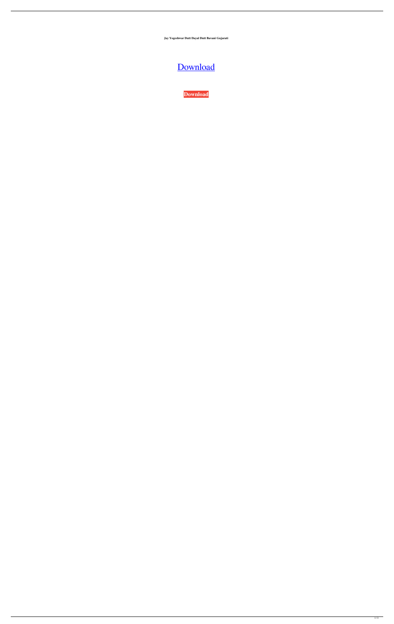**Jay Yogeshwar Dutt Dayal Dutt Bavani Gujarati**

## [Download](https://tiurll.com/2l0ot2)

**[Download](https://tiurll.com/2l0ot2)**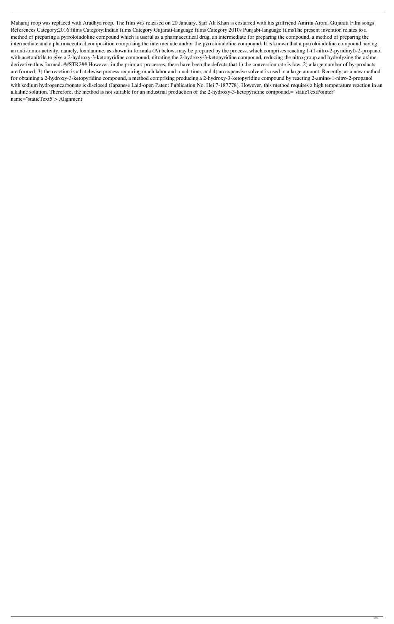Maharaj roop was replaced with Aradhya roop. The film was released on 20 January. Saif Ali Khan is costarred with his girlfriend Amrita Arora. Gujarati Film songs References Category:2016 films Category:Indian films Category:Gujarati-language films Category:2010s Punjabi-language filmsThe present invention relates to a method of preparing a pyrroloindoline compound which is useful as a pharmaceutical drug, an intermediate for preparing the compound, a method of preparing the intermediate and a pharmaceutical composition comprising the intermediate and/or the pyrroloindoline compound. It is known that a pyrroloindoline compound having an anti-tumor activity, namely, lonidamine, as shown in formula (A) below, may be prepared by the process, which comprises reacting 1-(1-nitro-2-pyridinyl)-2-propanol with acetonitrile to give a 2-hydroxy-3-ketopyridine compound, nitrating the 2-hydroxy-3-ketopyridine compound, reducing the nitro group and hydrolyzing the oxime derivative thus formed. ##STR2## However, in the prior art processes, there have been the defects that 1) the conversion rate is low, 2) a large number of by-products are formed, 3) the reaction is a batchwise process requiring much labor and much time, and 4) an expensive solvent is used in a large amount. Recently, as a new method for obtaining a 2-hydroxy-3-ketopyridine compound, a method comprising producing a 2-hydroxy-3-ketopyridine compound by reacting 2-amino-1-nitro-2-propanol with sodium hydrogencarbonate is disclosed (Japanese Laid-open Patent Publication No. Hei 7-187778). However, this method requires a high temperature reaction in an alkaline solution. Therefore, the method is not suitable for an industrial production of the 2-hydroxy-3-ketopyridine compound.="staticTextPointer" name="staticText5"> Alignment: